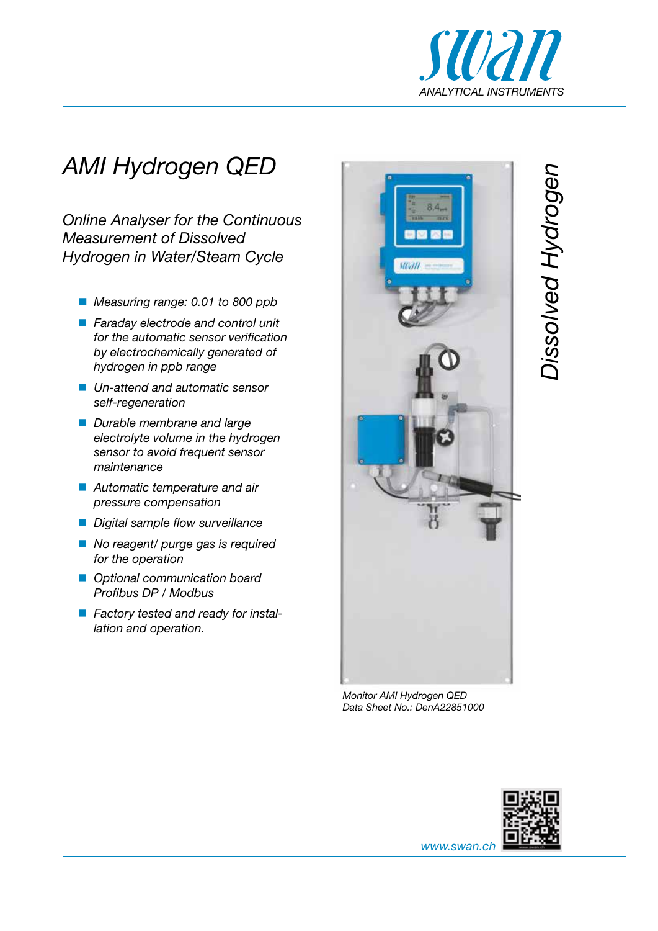

*Dissolved Hydrogen* 

## *AMI Hydrogen QED*

*Online Analyser for the Continuous Measurement of Dissolved Hydrogen in Water/Steam Cycle*

- *Measuring range: 0.01 to 800 ppb*
- *Faraday electrode and control unit for the automatic sensor verification by electrochemically generated of hydrogen in ppb range*
- *Un-attend and automatic sensor self-regeneration*
- *Durable membrane and large electrolyte volume in the hydrogen sensor to avoid frequent sensor maintenance*
- *Automatic temperature and air pressure compensation*
- *Digital sample flow surveillance*
- *No reagent/ purge gas is required for the operation*
- *Optional communication board Profibus DP / Modbus*
- *Factory tested and ready for installation and operation.*



*Monitor AMI Hydrogen QED Data Sheet No.: DenA22851000*



*www.swan.ch*